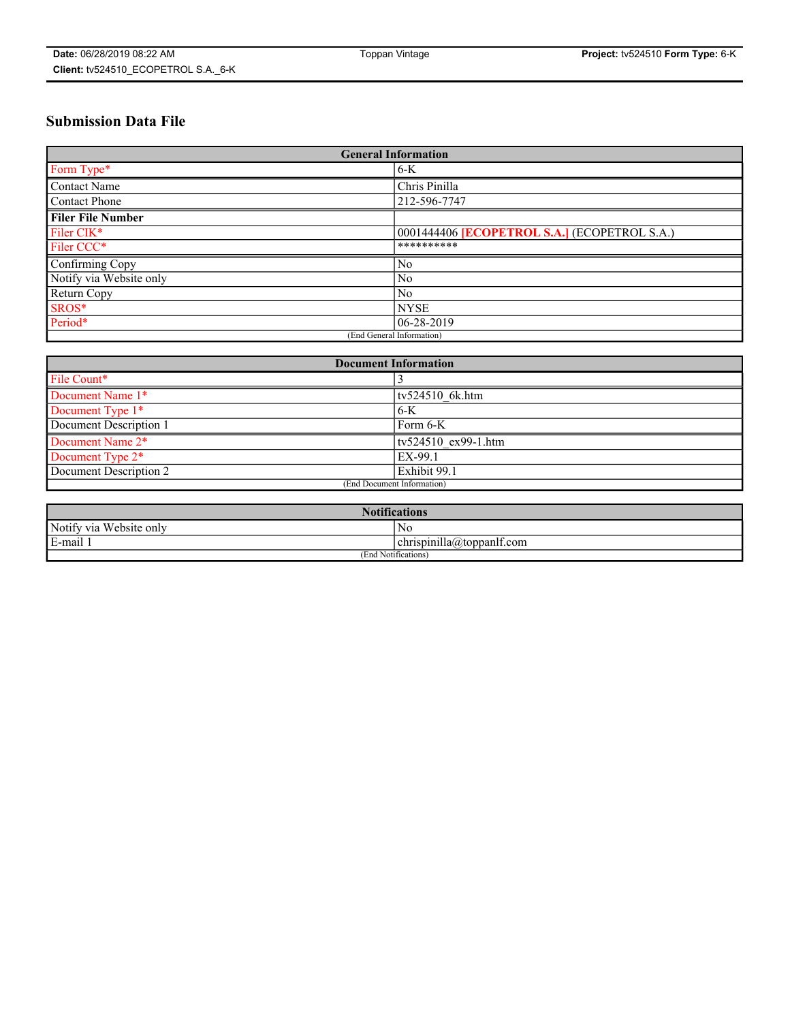# **Submission Data File**

| <b>General Information</b> |                                                     |
|----------------------------|-----------------------------------------------------|
| Form Type*                 | $6-K$                                               |
| Contact Name               | Chris Pinilla                                       |
| Contact Phone              | 212-596-7747                                        |
| <b>Filer File Number</b>   |                                                     |
| Filer CIK*                 | 0001444406 <b>[ECOPETROL S.A.]</b> (ECOPETROL S.A.) |
| Filer CCC*                 | **********                                          |
| Confirming Copy            | N <sub>0</sub>                                      |
| Notify via Website only    | N <sub>0</sub>                                      |
| Return Copy                | N <sub>0</sub>                                      |
| SROS*                      | <b>NYSE</b>                                         |
| Period*                    | 06-28-2019                                          |
| (End General Information)  |                                                     |

| <b>Document Information</b> |                     |
|-----------------------------|---------------------|
| File Count*                 |                     |
| Document Name 1*            | $tv524510$ 6k.htm   |
| Document Type 1*            | $6-K$               |
| Document Description 1      | Form 6-K            |
| Document Name 2*            | tv524510 ex99-1.htm |
| Document Type 2*            | EX-99.1             |
| Document Description 2      | Exhibit 99.1        |
| (End Document Information)  |                     |

| <b>Notifications</b>       |                                 |  |
|----------------------------|---------------------------------|--|
| Notify via<br>Website only | N <sub>0</sub>                  |  |
| $E$ -mail 1                | <br>chrispinilla(a)toppanif.com |  |
| (End Notifications)        |                                 |  |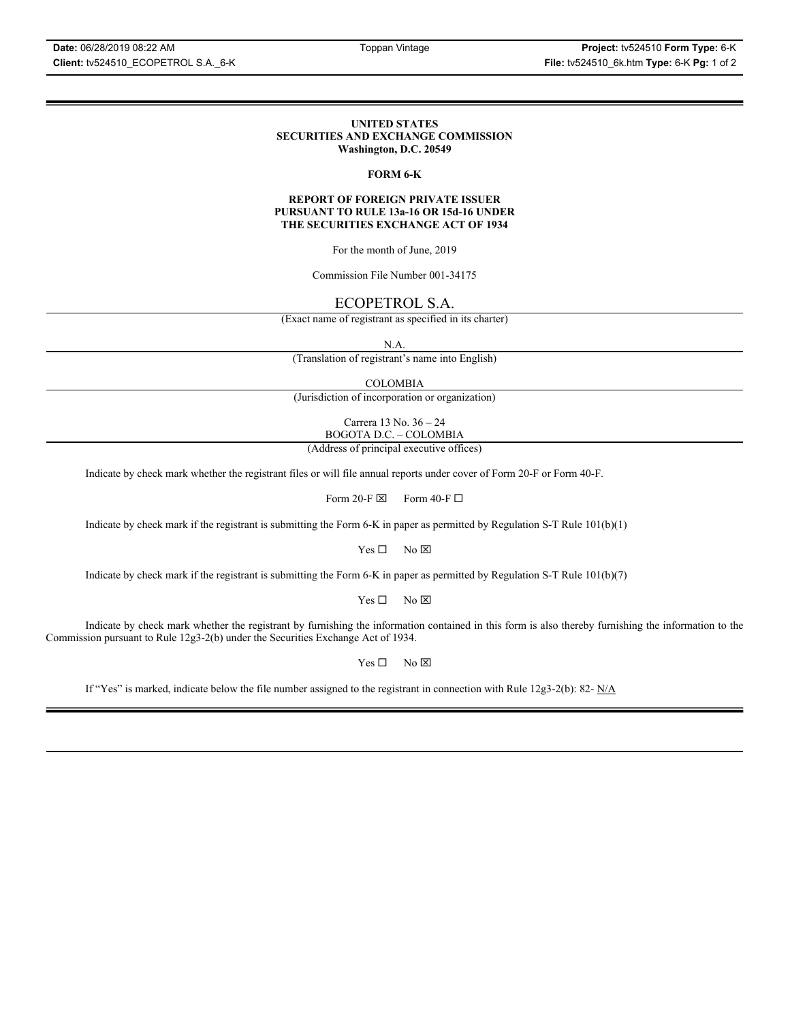#### **UNITED STATES SECURITIES AND EXCHANGE COMMISSION Washington, D.C. 20549**

### **FORM 6-K**

#### **REPORT OF FOREIGN PRIVATE ISSUER PURSUANT TO RULE 13a-16 OR 15d-16 UNDER THE SECURITIES EXCHANGE ACT OF 1934**

For the month of June, 2019

Commission File Number 001-34175

## ECOPETROL S.A.

(Exact name of registrant as specified in its charter)

N.A.

(Translation of registrant's name into English)

COLOMBIA

(Jurisdiction of incorporation or organization)

Carrera 13 No. 36 – 24 BOGOTA D.C. – COLOMBIA

(Address of principal executive offices)

Indicate by check mark whether the registrant files or will file annual reports under cover of Form 20-F or Form 40-F.

Form 20-F  $\boxtimes$  Form 40-F  $\Box$ 

Indicate by check mark if the registrant is submitting the Form 6-K in paper as permitted by Regulation S-T Rule 101(b)(1)

 $Yes \Box$  No  $\boxtimes$ 

Indicate by check mark if the registrant is submitting the Form 6-K in paper as permitted by Regulation S-T Rule 101(b)(7)

 $Yes \Box$  No  $\boxtimes$ 

Indicate by check mark whether the registrant by furnishing the information contained in this form is also thereby furnishing the information to the Commission pursuant to Rule 12g3-2(b) under the Securities Exchange Act of 1934.

 $Yes \Box$  No  $\boxtimes$ 

If "Yes" is marked, indicate below the file number assigned to the registrant in connection with Rule 12g3-2(b): 82-  $N/A$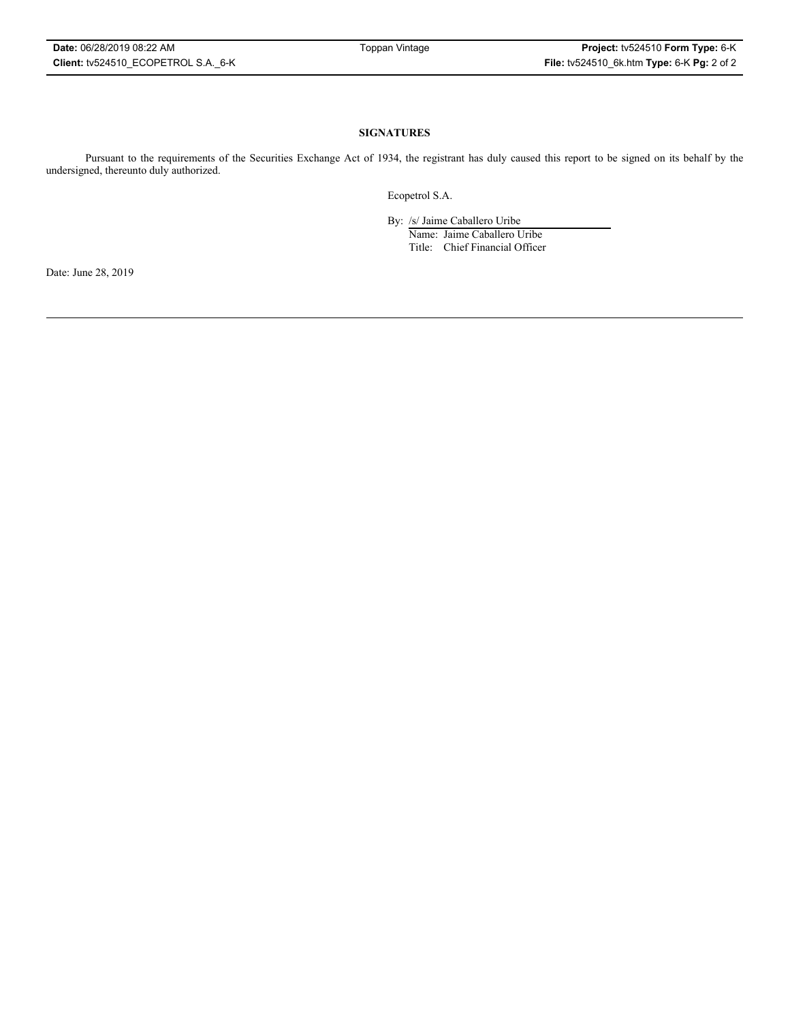### **SIGNATURES**

Pursuant to the requirements of the Securities Exchange Act of 1934, the registrant has duly caused this report to be signed on its behalf by the undersigned, thereunto duly authorized.

Ecopetrol S.A.

By: /s/ Jaime Caballero Uribe

Name: Jaime Caballero Uribe Title: Chief Financial Officer

Date: June 28, 2019